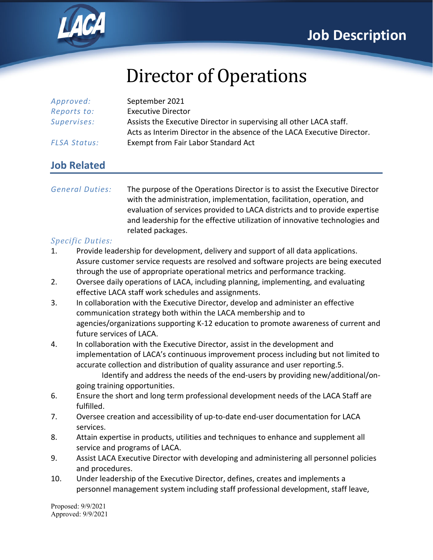

# Director of Operations

| Approved:           | September 2021                                                          |
|---------------------|-------------------------------------------------------------------------|
| Reports to:         | <b>Executive Director</b>                                               |
| Supervises:         | Assists the Executive Director in supervising all other LACA staff.     |
|                     | Acts as Interim Director in the absence of the LACA Executive Director. |
| <b>FLSA Status:</b> | Exempt from Fair Labor Standard Act                                     |

### **Job Related**

*General Duties:* The purpose of the Operations Director is to assist the Executive Director with the administration, implementation, facilitation, operation, and evaluation of services provided to LACA districts and to provide expertise and leadership for the effective utilization of innovative technologies and related packages.

#### *Specific Duties:*

- 1. Provide leadership for development, delivery and support of all data applications. Assure customer service requests are resolved and software projects are being executed through the use of appropriate operational metrics and performance tracking.
- 2. Oversee daily operations of LACA, including planning, implementing, and evaluating effective LACA staff work schedules and assignments.
- 3. In collaboration with the Executive Director, develop and administer an effective communication strategy both within the LACA membership and to agencies/organizations supporting K-12 education to promote awareness of current and future services of LACA.
- 4. In collaboration with the Executive Director, assist in the development and implementation of LACA's continuous improvement process including but not limited to accurate collection and distribution of quality assurance and user reporting.5. Identify and address the needs of the end-users by providing new/additional/ongoing training opportunities.
- 6. Ensure the short and long term professional development needs of the LACA Staff are fulfilled.
- 7. Oversee creation and accessibility of up-to-date end-user documentation for LACA services.
- 8. Attain expertise in products, utilities and techniques to enhance and supplement all service and programs of LACA.
- 9. Assist LACA Executive Director with developing and administering all personnel policies and procedures.
- 10. Under leadership of the Executive Director, defines, creates and implements a personnel management system including staff professional development, staff leave,

Proposed: 9/9/2021 Approved: 9/9/2021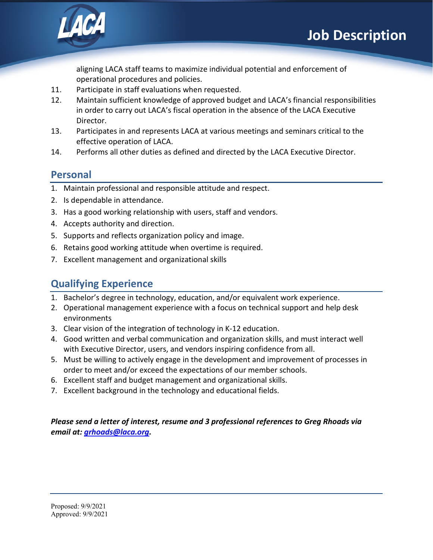

aligning LACA staff teams to maximize individual potential and enforcement of operational procedures and policies.

- 11. Participate in staff evaluations when requested.
- 12. Maintain sufficient knowledge of approved budget and LACA's financial responsibilities in order to carry out LACA's fiscal operation in the absence of the LACA Executive Director.
- 13. Participates in and represents LACA at various meetings and seminars critical to the effective operation of LACA.
- 14. Performs all other duties as defined and directed by the LACA Executive Director.

#### **Personal**

- 1. Maintain professional and responsible attitude and respect.
- 2. Is dependable in attendance.
- 3. Has a good working relationship with users, staff and vendors.
- 4. Accepts authority and direction.
- 5. Supports and reflects organization policy and image.
- 6. Retains good working attitude when overtime is required.
- 7. Excellent management and organizational skills

## **Qualifying Experience**

- 1. Bachelor's degree in technology, education, and/or equivalent work experience.
- 2. Operational management experience with a focus on technical support and help desk environments
- 3. Clear vision of the integration of technology in K-12 education.
- 4. Good written and verbal communication and organization skills, and must interact well with Executive Director, users, and vendors inspiring confidence from all.
- 5. Must be willing to actively engage in the development and improvement of processes in order to meet and/or exceed the expectations of our member schools.
- 6. Excellent staff and budget management and organizational skills.
- 7. Excellent background in the technology and educational fields.

#### *Please send a letter of interest, resume and 3 professional references to Greg Rhoads via email at: [grhoads@laca.org.](mailto:grhoads@laca.org)*